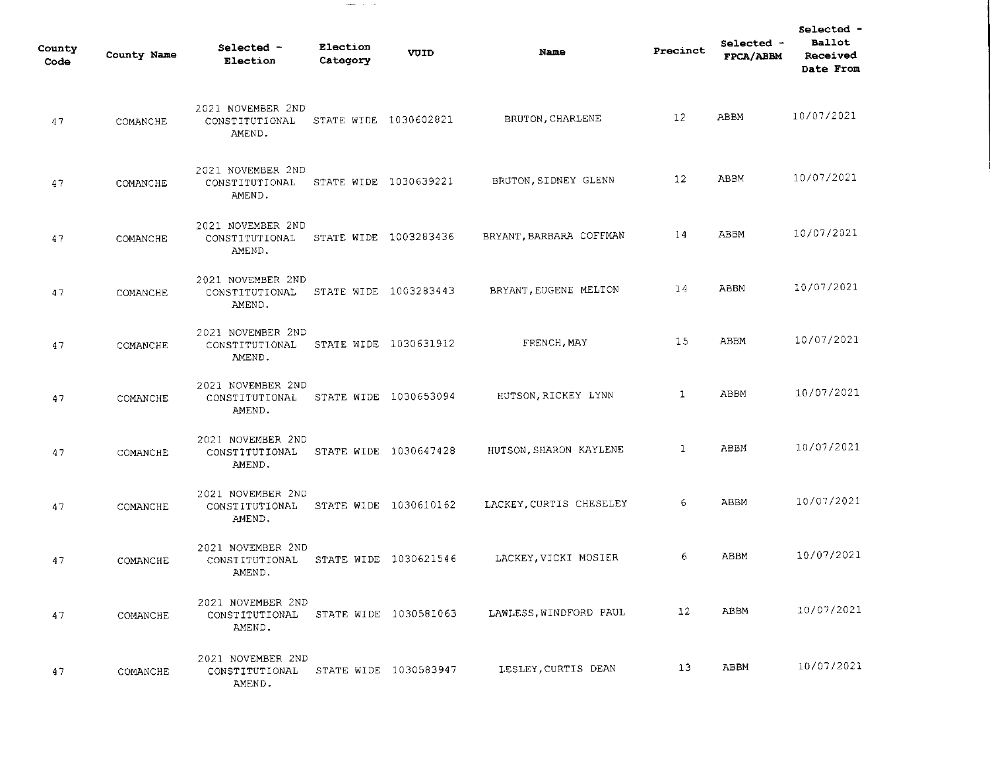| County<br>Code | County Name | Selected -<br>Election                        | Election<br>Category  | VUID                  | Name                    | Precinct        | Selected -<br>FPCA/ABBM | Selected -<br>Ballot<br>Received<br>Date From |
|----------------|-------------|-----------------------------------------------|-----------------------|-----------------------|-------------------------|-----------------|-------------------------|-----------------------------------------------|
| 47             | COMANCHE    | 2021 NOVEMBER 2ND<br>CONSTITUTIONAL<br>AMEND. | STATE WIDE 1030602821 |                       | BRUTON, CHARLENE        | 12              | ABBM                    | 10/07/2021                                    |
| 47             | COMANCHE    | 2021 NOVEMBER 2ND<br>CONSTITUTIONAL<br>AMEND. | STATE WIDE 1030639221 |                       | BRUTON, SIDNEY GLENN    | 12              | <b>ABBM</b>             | 10/07/2021                                    |
| 47             | COMANCHE    | 2021 NOVEMBER 2ND<br>CONSTITUTIONAL<br>AMEND. | STATE WIDE 1003283436 |                       | BRYANT, BARBARA COFFMAN | 14              | ABBM                    | 10/07/2021                                    |
| 47             | COMANCHE    | 2021 NOVEMBER 2ND<br>CONSTITUTIONAL<br>AMEND. |                       | STATE WIDE 1003283443 | BRYANT, EUGENE MELTON   | 14              | ABBM                    | 10/07/2021                                    |
| 47             | COMANCHE    | 2021 NOVEMBER 2ND<br>CONSTITUTIONAL<br>AMEND. |                       | STATE WIDE 1030631912 | FRENCH, MAY             | 15              | ABBM                    | 10/07/2021                                    |
| 47             | COMANCHE    | 2021 NOVEMBER 2ND<br>CONSTITUTIONAL<br>AMEND. |                       | STATE WIDE 1030653094 | HUTSON, RICKEY LYNN     | 1               | ABBM                    | 10/07/2021                                    |
| 47             | COMANCHE    | 2021 NOVEMBER 2ND<br>CONSTITUTIONAL<br>AMEND. |                       | STATE WIDE 1030647428 | HUTSON SHARON KAYLENE   | $\mathbf{1}$    | ABBM                    | 10/07/2021                                    |
| 47             | COMANCHE    | 2021 NOVEMBER 2ND<br>CONSTITUTIONAL<br>AMEND. |                       | STATE WIDE 1030610162 | LACKEY, CURTIS CHESELEY | 6               | ABBM                    | 10/07/2021                                    |
| 47             | COMANCHE    | 2021 NOVEMBER 2ND<br>CONSTITUTIONAL<br>AMEND. |                       | STATE WIDE 1030621546 | LACKEY, VICKI MOSIER    | 6.              | ABBM                    | 10/07/2021                                    |
| 47             | COMANCHE    | 2021 NOVEMBER 2ND<br>CONSTITUTIONAL<br>AMEND. |                       | STATE WIDE 1030581063 | LAWLESS, WINDFORD PAUL  | 12 <sub>2</sub> | ABBM                    | 10/07/2021                                    |
| 47             | COMANCHE    | 2021 NOVEMBER 2ND<br>CONSTITUTIONAL<br>AMEND. |                       | STATE WIDE 1030583947 | LESLEY, CURTIS DEAN     | 13              | ABBM                    | 10/07/2021                                    |

 $\mathcal{L}_{\text{max}}$  and  $\mathcal{L}_{\text{max}}$